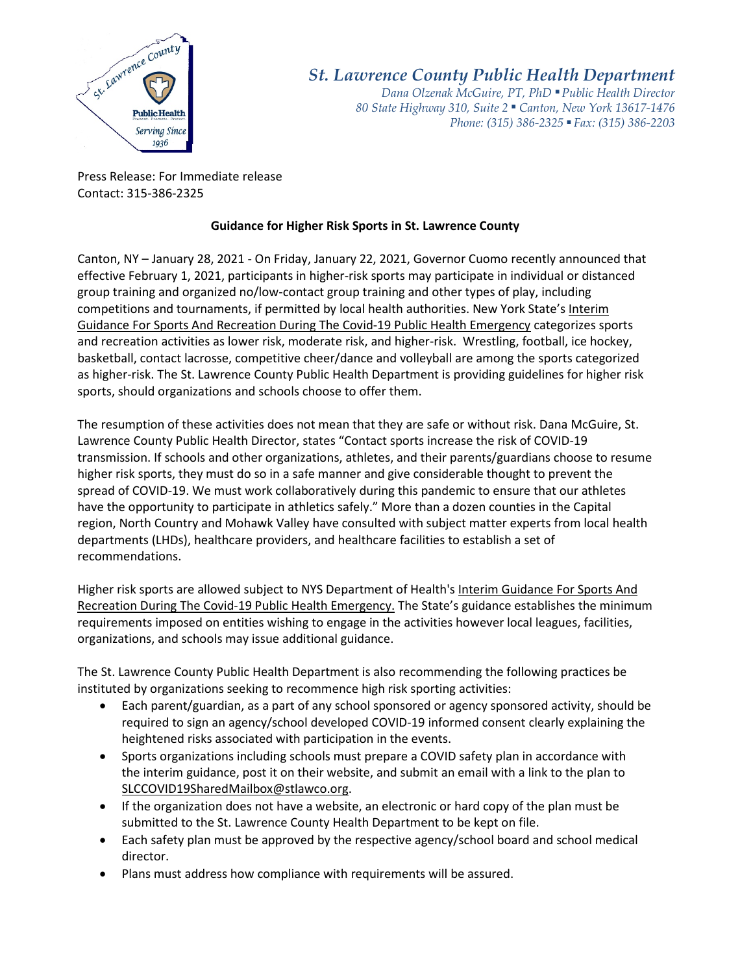

## *St. Lawrence County Public Health Department*

*Dana Olzenak McGuire, PT, PhD ■ Public Health Director 80 State Highway 310, Suite 2 ■ Canton, New York 13617-1476 Phone: (315) 386-2325* ■ *Fax: (315) 386-2203*

Press Release: For Immediate release Contact: 315-386-2325

## **Guidance for Higher Risk Sports in St. Lawrence County**

Canton, NY – January 28, 2021 - On Friday, January 22, 2021, Governor Cuomo recently announced that effective February 1, 2021, participants in higher-risk sports may participate in individual or distanced group training and organized no/low-contact group training and other types of play, including competitions and tournaments, if permitted by local health authorities. New York State's [Interim](https://www.governor.ny.gov/sites/governor.ny.gov/files/atoms/files/SportsAndRecreationMasterGuidance.pdf)  [Guidance For Sports And Recreation During The Covid-19 Public Health Emergency](https://www.governor.ny.gov/sites/governor.ny.gov/files/atoms/files/SportsAndRecreationMasterGuidance.pdf) categorizes sports and recreation activities as lower risk, moderate risk, and higher-risk. Wrestling, football, ice hockey, basketball, contact lacrosse, competitive cheer/dance and volleyball are among the sports categorized as higher-risk. The St. Lawrence County Public Health Department is providing guidelines for higher risk sports, should organizations and schools choose to offer them.

The resumption of these activities does not mean that they are safe or without risk. Dana McGuire, St. Lawrence County Public Health Director, states "Contact sports increase the risk of COVID-19 transmission. If schools and other organizations, athletes, and their parents/guardians choose to resume higher risk sports, they must do so in a safe manner and give considerable thought to prevent the spread of COVID-19. We must work collaboratively during this pandemic to ensure that our athletes have the opportunity to participate in athletics safely." More than a dozen counties in the Capital region, North Country and Mohawk Valley have consulted with subject matter experts from local health departments (LHDs), healthcare providers, and healthcare facilities to establish a set of recommendations.

Higher risk sports are allowed subject to NYS Department of Health'[s Interim Guidance For Sports And](https://www.governor.ny.gov/sites/governor.ny.gov/files/atoms/files/SportsAndRecreationMasterGuidance.pdf)  [Recreation During The Covid-19 Public Health Emergency.](https://www.governor.ny.gov/sites/governor.ny.gov/files/atoms/files/SportsAndRecreationMasterGuidance.pdf) The State's guidance establishes the minimum requirements imposed on entities wishing to engage in the activities however local leagues, facilities, organizations, and schools may issue additional guidance.

The St. Lawrence County Public Health Department is also recommending the following practices be instituted by organizations seeking to recommence high risk sporting activities:

- Each parent/guardian, as a part of any school sponsored or agency sponsored activity, should be required to sign an agency/school developed COVID-19 informed consent clearly explaining the heightened risks associated with participation in the events.
- Sports organizations including schools must prepare a COVID safety plan in accordance with the interim guidance, post it on their website, and submit an email with a link to the plan to [SLCCOVID19SharedMailbox@stlawco.org.](mailto:SLCCOVID19SharedMailbox@stlawco.org)
- If the organization does not have a website, an electronic or hard copy of the plan must be submitted to the St. Lawrence County Health Department to be kept on file.
- Each safety plan must be approved by the respective agency/school board and school medical director.
- Plans must address how compliance with requirements will be assured.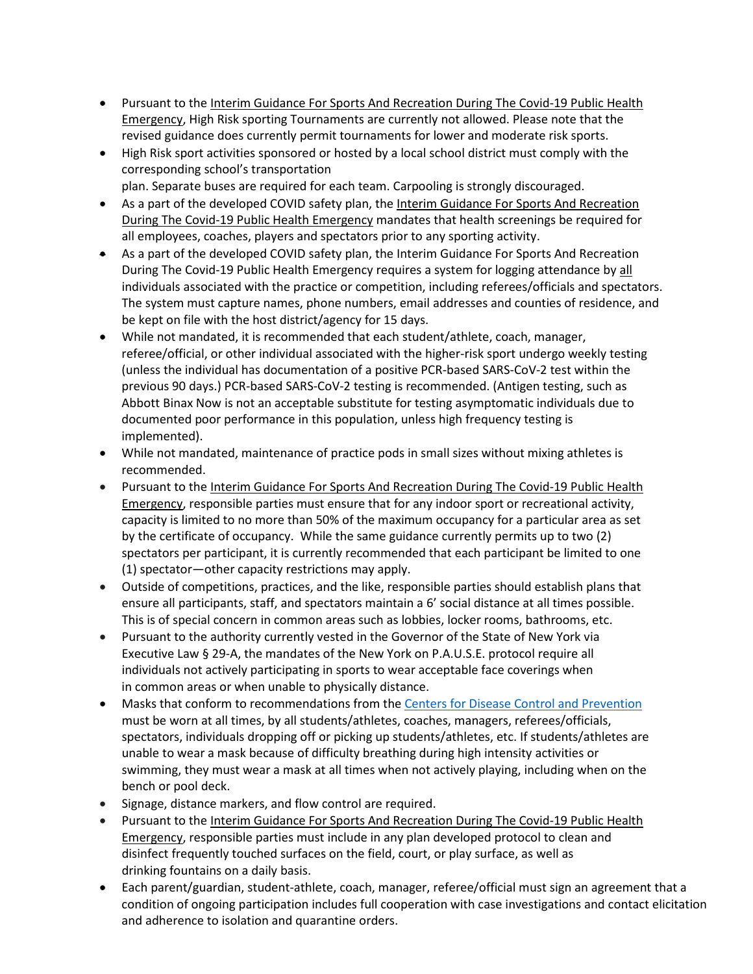- Pursuant to the Interim Guidance For Sports And Recreation During The Covid-19 Public Health Emergency, High Risk sporting Tournaments are currently not allowed. Please note that the revised guidance does currently permit tournaments for lower and moderate risk sports.
- High Risk sport activities sponsored or hosted by a local school district must comply with the corresponding school's transportation
	- plan. Separate buses are required for each team. Carpooling is strongly discouraged.
- As a part of the developed COVID safety plan, the Interim Guidance For Sports And Recreation During The Covid-19 Public Health Emergency mandates that health screenings be required for all employees, coaches, players and spectators prior to any sporting activity.
- As a part of the developed COVID safety plan, the Interim Guidance For Sports And Recreation During The Covid-19 Public Health Emergency requires a system for logging attendance by all individuals associated with the practice or competition, including referees/officials and spectators. The system must capture names, phone numbers, email addresses and counties of residence, and be kept on file with the host district/agency for 15 days.
- While not mandated, it is recommended that each student/athlete, coach, manager, referee/official, or other individual associated with the higher-risk sport undergo weekly testing (unless the individual has documentation of a positive PCR-based SARS-CoV-2 test within the previous 90 days.) PCR-based SARS-CoV-2 testing is recommended. (Antigen testing, such as Abbott Binax Now is not an acceptable substitute for testing asymptomatic individuals due to documented poor performance in this population, unless high frequency testing is implemented).
- While not mandated, maintenance of practice pods in small sizes without mixing athletes is recommended.
- Pursuant to the Interim Guidance For Sports And Recreation During The Covid-19 Public Health Emergency, responsible parties must ensure that for any indoor sport or recreational activity, capacity is limited to no more than 50% of the maximum occupancy for a particular area as set by the certificate of occupancy. While the same guidance currently permits up to two (2) spectators per participant, it is currently recommended that each participant be limited to one (1) spectator—other capacity restrictions may apply.
- Outside of competitions, practices, and the like, responsible parties should establish plans that ensure all participants, staff, and spectators maintain a 6' social distance at all times possible. This is of special concern in common areas such as lobbies, locker rooms, bathrooms, etc.
- Pursuant to the authority currently vested in the Governor of the State of New York via Executive Law § 29-A, the mandates of the New York on P.A.U.S.E. protocol require all individuals not actively participating in sports to wear acceptable face coverings when in common areas or when unable to physically distance.
- Masks that conform to recommendations from the [Centers for Disease Control and Prevention](https://www.cdc.gov/coronavirus/2019-ncov/prevent-getting-sick/about-face-coverings.html) must be worn at all times, by all students/athletes, coaches, managers, referees/officials, spectators, individuals dropping off or picking up students/athletes, etc. If students/athletes are unable to wear a mask because of difficulty breathing during high intensity activities or swimming, they must wear a mask at all times when not actively playing, including when on the bench or pool deck.
- Signage, distance markers, and flow control are required.
- Pursuant to the Interim Guidance For Sports And Recreation During The Covid-19 Public Health Emergency, responsible parties must include in any plan developed protocol to clean and disinfect frequently touched surfaces on the field, court, or play surface, as well as drinking fountains on a daily basis.
- Each parent/guardian, student-athlete, coach, manager, referee/official must sign an agreement that a condition of ongoing participation includes full cooperation with case investigations and contact elicitation and adherence to isolation and quarantine orders.